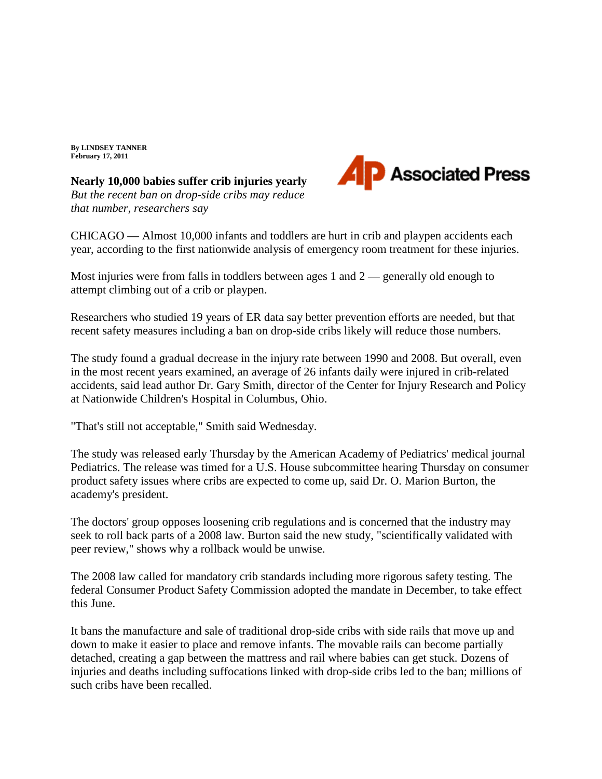**By LINDSEY TANNER February 17, 2011** 

**Nearly 10,000 babies suffer crib injuries yearly** *But the recent ban on drop-side cribs may reduce that number, researchers say* 



CHICAGO — Almost 10,000 infants and toddlers are hurt in crib and playpen accidents each year, according to the first nationwide analysis of emergency room treatment for these injuries.

Most injuries were from falls in toddlers between ages 1 and 2 — generally old enough to attempt climbing out of a crib or playpen.

Researchers who studied 19 years of ER data say better prevention efforts are needed, but that recent safety measures including a ban on drop-side cribs likely will reduce those numbers.

The study found a gradual decrease in the injury rate between 1990 and 2008. But overall, even in the most recent years examined, an average of 26 infants daily were injured in crib-related accidents, said lead author Dr. Gary Smith, director of the Center for Injury Research and Policy at Nationwide Children's Hospital in Columbus, Ohio.

"That's still not acceptable," Smith said Wednesday.

The study was released early Thursday by the American Academy of Pediatrics' medical journal Pediatrics. The release was timed for a U.S. House subcommittee hearing Thursday on consumer product safety issues where cribs are expected to come up, said Dr. O. Marion Burton, the academy's president.

The doctors' group opposes loosening crib regulations and is concerned that the industry may seek to roll back parts of a 2008 law. Burton said the new study, "scientifically validated with peer review," shows why a rollback would be unwise.

The 2008 law called for mandatory crib standards including more rigorous safety testing. The federal Consumer Product Safety Commission adopted the mandate in December, to take effect this June.

It bans the manufacture and sale of traditional drop-side cribs with side rails that move up and down to make it easier to place and remove infants. The movable rails can become partially detached, creating a gap between the mattress and rail where babies can get stuck. Dozens of injuries and deaths including suffocations linked with drop-side cribs led to the ban; millions of such cribs have been recalled.